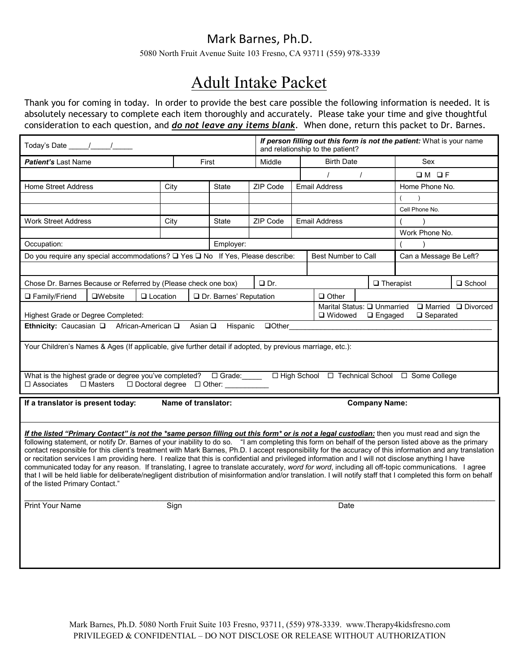5080 North Fruit Avenue Suite 103 Fresno, CA 93711 (559) 978-3339

# Adult Intake Packet

Thank you for coming in today. In order to provide the best care possible the following information is needed. It is absolutely necessary to complete each item thoroughly and accurately. Please take your time and give thoughtful consideration to each question, and *do not leave any items blank*. When done, return this packet to Dr. Barnes.

| Today's Date _____/____/_____                                                                                                                                                                                                                                                                                                                                                                                                                                                                                                                                                                                                                                                                                                                                                                                                                                                                                                                                                     |                                                               |                           |                                                          |                          |               | If person filling out this form is not the patient: What is your name<br>and relationship to the patient? |                      |                  |                             |               |
|-----------------------------------------------------------------------------------------------------------------------------------------------------------------------------------------------------------------------------------------------------------------------------------------------------------------------------------------------------------------------------------------------------------------------------------------------------------------------------------------------------------------------------------------------------------------------------------------------------------------------------------------------------------------------------------------------------------------------------------------------------------------------------------------------------------------------------------------------------------------------------------------------------------------------------------------------------------------------------------|---------------------------------------------------------------|---------------------------|----------------------------------------------------------|--------------------------|---------------|-----------------------------------------------------------------------------------------------------------|----------------------|------------------|-----------------------------|---------------|
| <b>Patient's Last Name</b>                                                                                                                                                                                                                                                                                                                                                                                                                                                                                                                                                                                                                                                                                                                                                                                                                                                                                                                                                        |                                                               |                           | First                                                    |                          | Middle        |                                                                                                           | <b>Birth Date</b>    |                  | Sex                         |               |
|                                                                                                                                                                                                                                                                                                                                                                                                                                                                                                                                                                                                                                                                                                                                                                                                                                                                                                                                                                                   |                                                               |                           |                                                          |                          |               |                                                                                                           |                      | $\prime$         | $OM$ OF                     |               |
| <b>Home Street Address</b>                                                                                                                                                                                                                                                                                                                                                                                                                                                                                                                                                                                                                                                                                                                                                                                                                                                                                                                                                        |                                                               |                           | City                                                     | <b>State</b>             | ZIP Code      |                                                                                                           | <b>Email Address</b> |                  | Home Phone No.              |               |
|                                                                                                                                                                                                                                                                                                                                                                                                                                                                                                                                                                                                                                                                                                                                                                                                                                                                                                                                                                                   |                                                               |                           |                                                          |                          |               |                                                                                                           |                      |                  | $\overline{ }$<br>$\lambda$ |               |
|                                                                                                                                                                                                                                                                                                                                                                                                                                                                                                                                                                                                                                                                                                                                                                                                                                                                                                                                                                                   |                                                               |                           |                                                          |                          |               |                                                                                                           |                      |                  | Cell Phone No.              |               |
| <b>Work Street Address</b>                                                                                                                                                                                                                                                                                                                                                                                                                                                                                                                                                                                                                                                                                                                                                                                                                                                                                                                                                        |                                                               |                           | ZIP Code<br><b>Email Address</b><br>City<br><b>State</b> |                          |               |                                                                                                           |                      |                  |                             |               |
|                                                                                                                                                                                                                                                                                                                                                                                                                                                                                                                                                                                                                                                                                                                                                                                                                                                                                                                                                                                   |                                                               |                           |                                                          |                          |               |                                                                                                           |                      | Work Phone No.   |                             |               |
| Occupation:                                                                                                                                                                                                                                                                                                                                                                                                                                                                                                                                                                                                                                                                                                                                                                                                                                                                                                                                                                       |                                                               |                           |                                                          | Employer:                |               |                                                                                                           |                      |                  |                             |               |
| Do you require any special accommodations? □ Yes □ No If Yes, Please describe:                                                                                                                                                                                                                                                                                                                                                                                                                                                                                                                                                                                                                                                                                                                                                                                                                                                                                                    |                                                               |                           |                                                          |                          |               | <b>Best Number to Call</b>                                                                                |                      |                  | Can a Message Be Left?      |               |
|                                                                                                                                                                                                                                                                                                                                                                                                                                                                                                                                                                                                                                                                                                                                                                                                                                                                                                                                                                                   |                                                               |                           |                                                          |                          |               |                                                                                                           |                      |                  |                             |               |
| Chose Dr. Barnes Because or Referred by (Please check one box)                                                                                                                                                                                                                                                                                                                                                                                                                                                                                                                                                                                                                                                                                                                                                                                                                                                                                                                    |                                                               |                           |                                                          |                          | $\Box$ Dr.    |                                                                                                           |                      | $\Box$ Therapist |                             | $\Box$ School |
| □ Family/Friend                                                                                                                                                                                                                                                                                                                                                                                                                                                                                                                                                                                                                                                                                                                                                                                                                                                                                                                                                                   | $\square$ Website                                             | $\Box$ Location           |                                                          | □ Dr. Barnes' Reputation |               |                                                                                                           | $\Box$ Other         |                  |                             |               |
|                                                                                                                                                                                                                                                                                                                                                                                                                                                                                                                                                                                                                                                                                                                                                                                                                                                                                                                                                                                   | Marital Status: □ Unmarried<br>$\Box$ Married $\Box$ Divorced |                           |                                                          |                          |               |                                                                                                           |                      |                  |                             |               |
| Highest Grade or Degree Completed:                                                                                                                                                                                                                                                                                                                                                                                                                                                                                                                                                                                                                                                                                                                                                                                                                                                                                                                                                |                                                               |                           |                                                          |                          |               |                                                                                                           | □ Widowed            | □ Engaged        | $\Box$ Separated            |               |
| Ethnicity: Caucasian Q                                                                                                                                                                                                                                                                                                                                                                                                                                                                                                                                                                                                                                                                                                                                                                                                                                                                                                                                                            |                                                               | African-American <b>□</b> | Asian $\square$                                          | Hispanic                 | <b>QOther</b> |                                                                                                           |                      |                  |                             |               |
| Your Children's Names & Ages (If applicable, give further detail if adopted, by previous marriage, etc.):                                                                                                                                                                                                                                                                                                                                                                                                                                                                                                                                                                                                                                                                                                                                                                                                                                                                         |                                                               |                           |                                                          |                          |               |                                                                                                           |                      |                  |                             |               |
|                                                                                                                                                                                                                                                                                                                                                                                                                                                                                                                                                                                                                                                                                                                                                                                                                                                                                                                                                                                   |                                                               |                           |                                                          |                          |               |                                                                                                           |                      |                  |                             |               |
|                                                                                                                                                                                                                                                                                                                                                                                                                                                                                                                                                                                                                                                                                                                                                                                                                                                                                                                                                                                   |                                                               |                           |                                                          |                          |               |                                                                                                           |                      |                  |                             |               |
| What is the highest grade or degree you've completed? $\Box$ Grade:<br>□ High School □ Technical School □ Some College<br>$\Box$ Doctoral degree $\Box$ Other:<br>$\Box$ Associates<br>$\Box$ Masters                                                                                                                                                                                                                                                                                                                                                                                                                                                                                                                                                                                                                                                                                                                                                                             |                                                               |                           |                                                          |                          |               |                                                                                                           |                      |                  |                             |               |
|                                                                                                                                                                                                                                                                                                                                                                                                                                                                                                                                                                                                                                                                                                                                                                                                                                                                                                                                                                                   |                                                               |                           |                                                          |                          |               |                                                                                                           |                      |                  |                             |               |
| If a translator is present today:<br>Name of translator:<br><b>Company Name:</b>                                                                                                                                                                                                                                                                                                                                                                                                                                                                                                                                                                                                                                                                                                                                                                                                                                                                                                  |                                                               |                           |                                                          |                          |               |                                                                                                           |                      |                  |                             |               |
|                                                                                                                                                                                                                                                                                                                                                                                                                                                                                                                                                                                                                                                                                                                                                                                                                                                                                                                                                                                   |                                                               |                           |                                                          |                          |               |                                                                                                           |                      |                  |                             |               |
| If the listed "Primary Contact" is not the *same person filling out this form* or is not a legal custodian: then you must read and sign the<br>following statement, or notify Dr. Barnes of your inability to do so. "I am completing this form on behalf of the person listed above as the primary<br>contact responsible for this client's treatment with Mark Barnes, Ph.D. I accept responsibility for the accuracy of this information and any translation<br>or recitation services I am providing here. I realize that this is confidential and privileged information and I will not disclose anything I have<br>communicated today for any reason. If translating, I agree to translate accurately, word for word, including all off-topic communications. I agree<br>that I will be held liable for deliberate/negligent distribution of misinformation and/or translation. I will notify staff that I completed this form on behalf<br>of the listed Primary Contact." |                                                               |                           |                                                          |                          |               |                                                                                                           |                      |                  |                             |               |
|                                                                                                                                                                                                                                                                                                                                                                                                                                                                                                                                                                                                                                                                                                                                                                                                                                                                                                                                                                                   |                                                               |                           |                                                          |                          |               |                                                                                                           |                      |                  |                             |               |
| Print Your Name<br>Sign                                                                                                                                                                                                                                                                                                                                                                                                                                                                                                                                                                                                                                                                                                                                                                                                                                                                                                                                                           |                                                               |                           |                                                          |                          | Date          |                                                                                                           |                      |                  |                             |               |
|                                                                                                                                                                                                                                                                                                                                                                                                                                                                                                                                                                                                                                                                                                                                                                                                                                                                                                                                                                                   |                                                               |                           |                                                          |                          |               |                                                                                                           |                      |                  |                             |               |
|                                                                                                                                                                                                                                                                                                                                                                                                                                                                                                                                                                                                                                                                                                                                                                                                                                                                                                                                                                                   |                                                               |                           |                                                          |                          |               |                                                                                                           |                      |                  |                             |               |
|                                                                                                                                                                                                                                                                                                                                                                                                                                                                                                                                                                                                                                                                                                                                                                                                                                                                                                                                                                                   |                                                               |                           |                                                          |                          |               |                                                                                                           |                      |                  |                             |               |
|                                                                                                                                                                                                                                                                                                                                                                                                                                                                                                                                                                                                                                                                                                                                                                                                                                                                                                                                                                                   |                                                               |                           |                                                          |                          |               |                                                                                                           |                      |                  |                             |               |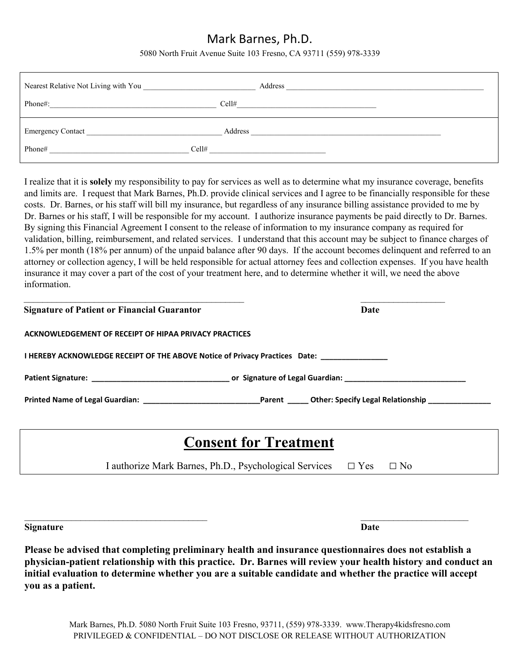5080 North Fruit Avenue Suite 103 Fresno, CA 93711 (559) 978-3339

| Nearest Relative Not Living with You                                                       | Address                                                                                                                                                                                                                                  |  |
|--------------------------------------------------------------------------------------------|------------------------------------------------------------------------------------------------------------------------------------------------------------------------------------------------------------------------------------------|--|
| Phone#:<br>the contract of the contract of the contract of the contract of the contract of | Cell#                                                                                                                                                                                                                                    |  |
| Emergency Contact                                                                          | Address<br>the control of the control of the control of the control of the control of the control of the control of the control of the control of the control of the control of the control of the control of the control of the control |  |
| Phone#                                                                                     | Cell#                                                                                                                                                                                                                                    |  |

I realize that it is **solely** my responsibility to pay for services as well as to determine what my insurance coverage, benefits and limits are. I request that Mark Barnes, Ph.D. provide clinical services and I agree to be financially responsible for these costs. Dr. Barnes, or his staff will bill my insurance, but regardless of any insurance billing assistance provided to me by Dr. Barnes or his staff, I will be responsible for my account. I authorize insurance payments be paid directly to Dr. Barnes. By signing this Financial Agreement I consent to the release of information to my insurance company as required for validation, billing, reimbursement, and related services. I understand that this account may be subject to finance charges of 1.5% per month (18% per annum) of the unpaid balance after 90 days. If the account becomes delinquent and referred to an attorney or collection agency, I will be held responsible for actual attorney fees and collection expenses. If you have health insurance it may cover a part of the cost of your treatment here, and to determine whether it will, we need the above information.

| <b>Signature of Patient or Financial Guarantor</b>                                                             | Date                                                                                                                  |  |  |  |  |  |
|----------------------------------------------------------------------------------------------------------------|-----------------------------------------------------------------------------------------------------------------------|--|--|--|--|--|
| ACKNOWLEDGEMENT OF RECEIPT OF HIPAA PRIVACY PRACTICES                                                          |                                                                                                                       |  |  |  |  |  |
| I HEREBY ACKNOWLEDGE RECEIPT OF THE ABOVE Notice of Privacy Practices Date:                                    |                                                                                                                       |  |  |  |  |  |
| Patient Signature: et al. 2016 and 2017 of Signature of Legal Guardian: Exercise 2018 and 2018 and 2019 and 20 |                                                                                                                       |  |  |  |  |  |
|                                                                                                                | Parent <b>Call Carlo Cheetical Contract Cheese</b> Parameter Cheese Parameter Parameter Cheese Parameter Parameter Pa |  |  |  |  |  |

## **Consent for Treatment**

I authorize Mark Barnes, Ph.D., Psychological Services  $\Box$  Yes  $\Box$  No

**Signature Date**

 $\_$  , and the contribution of the contribution of  $\mathcal{L}_\mathcal{A}$  , and the contribution of  $\mathcal{L}_\mathcal{A}$  , and the contribution of  $\mathcal{L}_\mathcal{A}$ 

**Please be advised that completing preliminary health and insurance questionnaires does not establish a physician-patient relationship with this practice. Dr. Barnes will review your health history and conduct an initial evaluation to determine whether you are a suitable candidate and whether the practice will accept you as a patient.**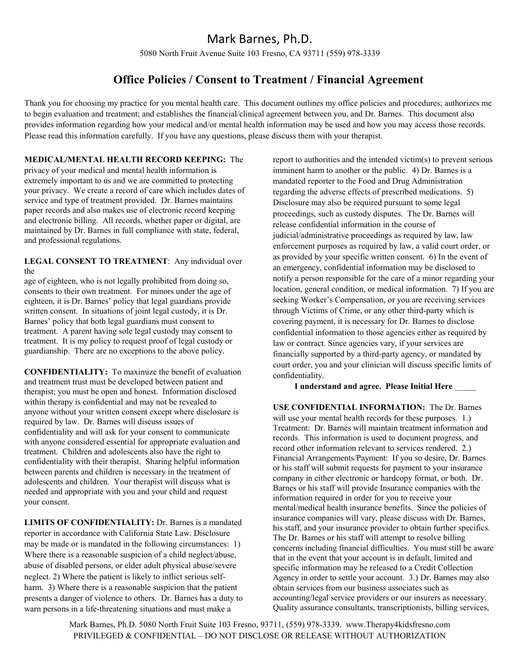5080 North Fruit Avenue Suite 103 Fresno, CA 93711 (559) 978-3339

### **Office Policies / Consent to Treatment / Financial Agreement**

Thank you for choosing my practice for you mental health care. This document outlines my office policies and procedures; authorizes me to begin evaluation and treatment; and establishes the financial/clinical agreement between you, and Dr. Barnes. This document also provides information regarding how your medical and/or mental health information may be used and how you may access those records. Please read this information carefully. If you have any questions, please discuss them with your therapist.

#### **MEDICAL/MENTAL HEALTH RECORD KEEPING:** The

privacy of your medical and mental health information is extremely important to us and we are committed to protecting your privacy. We create a record of care which includes dates of service and type of treatment provided. Dr. Barnes maintains paper records and also makes use of electronic record keeping and electronic billing. All records, whether paper or digital, are maintained by Dr. Barnes in full compliance with state, federal, and professional regulations.

#### **LEGAL CONSENT TO TREATMENT**: Any individual over the

age of eighteen, who is not legally prohibited from doing so, consents to their own treatment. For minors under the age of eighteen, it is Dr. Barnes' policy that legal guardians provide written consent. In situations of joint legal custody, it is Dr. Barnes' policy that both legal guardians must consent to treatment. A parent having sole legal custody may consent to treatment. It is my policy to request proof of legal custody or guardianship. There are no exceptions to the above policy.

**CONFIDENTIALITY:** To maximize the benefit of evaluation and treatment trust must be developed between patient and therapist; you must be open and honest. Information disclosed within therapy is confidential and may not be revealed to anyone without your written consent except where disclosure is required by law. Dr. Barnes will discuss issues of confidentiality and will ask for your consent to communicate with anyone considered essential for appropriate evaluation and treatment. Children and adolescents also have the right to confidentiality with their therapist. Sharing helpful information between parents and children is necessary in the treatment of adolescents and children. Your therapist will discuss what is needed and appropriate with you and your child and request your consent.

**LIMITS OF CONFIDENTIALITY:** Dr. Barnes is a mandated reporter in accordance with California State Law. Disclosure may be made or is mandated in the following circumstances: 1) Where there is a reasonable suspicion of a child neglect/abuse, abuse of disabled persons, or elder adult physical abuse/severe neglect. 2) Where the patient is likely to inflict serious selfharm. 3) Where there is a reasonable suspicion that the patient presents a danger of violence to others. Dr. Barnes has a duty to warn persons in a life-threatening situations and must make a

report to authorities and the intended victim(s) to prevent serious imminent harm to another or the public. 4) Dr. Barnes is a mandated reporter to the Food and Drug Administration regarding the adverse effects of prescribed medications. 5) Disclosure may also be required pursuant to some legal proceedings, such as custody disputes. The Dr. Barnes will release confidential information in the course of judicial/administrative proceedings as required by law, law enforcement purposes as required by law, a valid court order, or as provided by your specific written consent. 6) In the event of an emergency, confidential information may be disclosed to notify a person responsible for the care of a minor regarding your location, general condition, or medical information. 7) If you are seeking Worker's Compensation, or you are receiving services through Victims of Crime, or any other third-party which is covering payment, it is necessary for Dr. Barnes to disclose confidential information to those agencies either as required by law or contract. Since agencies vary, if your services are financially supported by a third-party agency, or mandated by court order, you and your clinician will discuss specific limits of confidentiality.

#### **I understand and agree. Please Initial Here** \_\_\_\_\_

**USE CONFIDENTIAL INFORMATION:** The Dr. Barnes will use your mental health records for these purposes. 1.) Treatment: Dr. Barnes will maintain treatment information and records. This information is used to document progress, and record other information relevant to services rendered. 2.) Financial Arrangements/Payment: If you so desire, Dr. Barnes or his staff will submit requests for payment to your insurance company in either electronic or hardcopy format, or both. Dr. Barnes or his staff will provide Insurance companies with the information required in order for you to receive your mental/medical health insurance benefits. Since the policies of insurance companies will vary, please discuss with Dr. Barnes, his staff, and your insurance provider to obtain further specifics. The Dr. Barnes or his staff will attempt to resolve billing concerns including financial difficulties. You must still be aware that in the event that your account is in default, limited and specific information may be released to a Credit Collection Agency in order to settle your account. 3.) Dr. Barnes may also obtain services from our business associates such as accounting/legal service providers or our insurers as necessary. Quality assurance consultants, transcriptionists, billing services,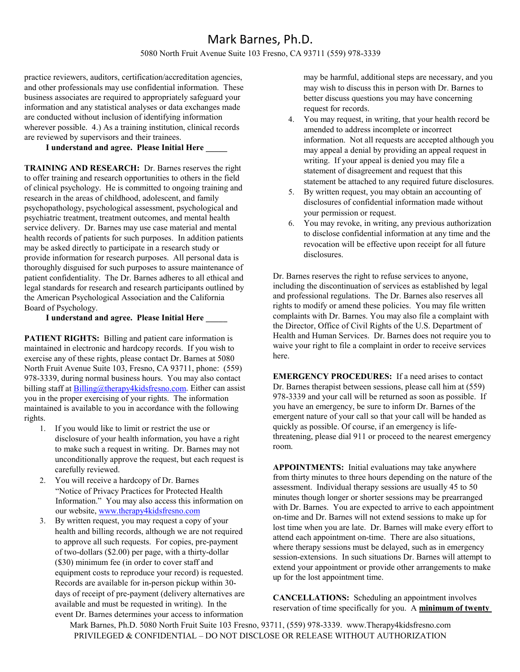#### 5080 North Fruit Avenue Suite 103 Fresno, CA 93711 (559) 978-3339

practice reviewers, auditors, certification/accreditation agencies, and other professionals may use confidential information. These business associates are required to appropriately safeguard your information and any statistical analyses or data exchanges made are conducted without inclusion of identifying information wherever possible. 4.) As a training institution, clinical records are reviewed by supervisors and their trainees.

#### **I understand and agree. Please Initial Here \_\_\_\_\_**

**TRAINING AND RESEARCH:** Dr. Barnes reserves the right to offer training and research opportunities to others in the field of clinical psychology. He is committed to ongoing training and research in the areas of childhood, adolescent, and family psychopathology, psychological assessment, psychological and psychiatric treatment, treatment outcomes, and mental health service delivery. Dr. Barnes may use case material and mental health records of patients for such purposes. In addition patients may be asked directly to participate in a research study or provide information for research purposes. All personal data is thoroughly disguised for such purposes to assure maintenance of patient confidentiality. The Dr. Barnes adheres to all ethical and legal standards for research and research participants outlined by the American Psychological Association and the California Board of Psychology.

#### **I understand and agree. Please Initial Here \_\_\_\_\_**

**PATIENT RIGHTS:** Billing and patient care information is maintained in electronic and hardcopy records. If you wish to exercise any of these rights, please contact Dr. Barnes at 5080 North Fruit Avenue Suite 103, Fresno, CA 93711, phone: (559) 978-3339, during normal business hours. You may also contact billing staff a[t Billing@therapy4kidsfresno.com.](mailto:Billing@therapy4kidsfresno.com) Either can assist you in the proper exercising of your rights. The information maintained is available to you in accordance with the following rights.

- 1. If you would like to limit or restrict the use or disclosure of your health information, you have a right to make such a request in writing. Dr. Barnes may not unconditionally approve the request, but each request is carefully reviewed.
- 2. You will receive a hardcopy of Dr. Barnes "Notice of Privacy Practices for Protected Health Information." You may also access this information on our website, [www.therapy4kidsfresno.com](http://www.therapy4kidsfresno.com/)
- 3. By written request, you may request a copy of your health and billing records, although we are not required to approve all such requests. For copies, pre-payment of two-dollars (\$2.00) per page, with a thirty-dollar (\$30) minimum fee (in order to cover staff and equipment costs to reproduce your record) is requested. Records are available for in-person pickup within 30 days of receipt of pre-payment (delivery alternatives are available and must be requested in writing). In the event Dr. Barnes determines your access to information

may be harmful, additional steps are necessary, and you may wish to discuss this in person with Dr. Barnes to better discuss questions you may have concerning request for records.

- 4. You may request, in writing, that your health record be amended to address incomplete or incorrect information. Not all requests are accepted although you may appeal a denial by providing an appeal request in writing. If your appeal is denied you may file a statement of disagreement and request that this statement be attached to any required future disclosures.
- 5. By written request, you may obtain an accounting of disclosures of confidential information made without your permission or request.
- 6. You may revoke, in writing, any previous authorization to disclose confidential information at any time and the revocation will be effective upon receipt for all future disclosures.

Dr. Barnes reserves the right to refuse services to anyone, including the discontinuation of services as established by legal and professional regulations. The Dr. Barnes also reserves all rights to modify or amend these policies. You may file written complaints with Dr. Barnes. You may also file a complaint with the Director, Office of Civil Rights of the U.S. Department of Health and Human Services. Dr. Barnes does not require you to waive your right to file a complaint in order to receive services here.

**EMERGENCY PROCEDURES:** If a need arises to contact Dr. Barnes therapist between sessions, please call him at (559) 978-3339 and your call will be returned as soon as possible. If you have an emergency, be sure to inform Dr. Barnes of the emergent nature of your call so that your call will be handed as quickly as possible. Of course, if an emergency is lifethreatening, please dial 911 or proceed to the nearest emergency room.

**APPOINTMENTS:** Initial evaluations may take anywhere from thirty minutes to three hours depending on the nature of the assessment. Individual therapy sessions are usually 45 to 50 minutes though longer or shorter sessions may be prearranged with Dr. Barnes. You are expected to arrive to each appointment on-time and Dr. Barnes will not extend sessions to make up for lost time when you are late. Dr. Barnes will make every effort to attend each appointment on-time. There are also situations, where therapy sessions must be delayed, such as in emergency session-extensions. In such situations Dr. Barnes will attempt to extend your appointment or provide other arrangements to make up for the lost appointment time.

**CANCELLATIONS:** Scheduling an appointment involves reservation of time specifically for you. A **minimum of twenty**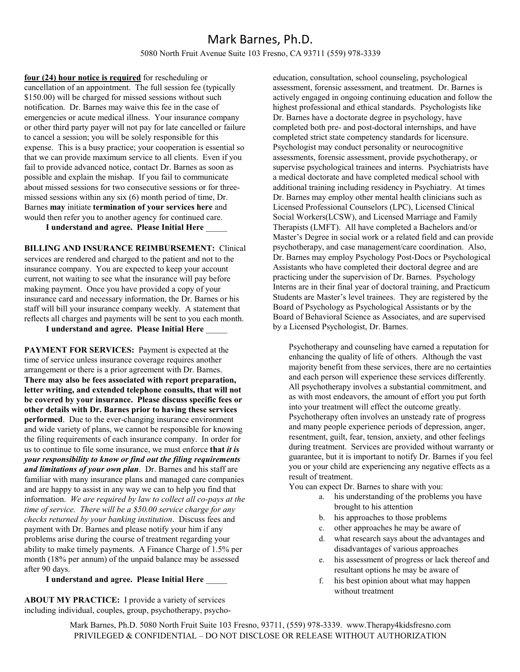#### 5080 North Fruit Avenue Suite 103 Fresno, CA 93711 (559) 978-3339

**four (24) hour notice is required** for rescheduling or cancellation of an appointment. The full session fee (typically \$150.00) will be charged for missed sessions without such notification. Dr. Barnes may waive this fee in the case of emergencies or acute medical illness. Your insurance company or other third party payer will not pay for late cancelled or failure to cancel a session; you will be solely responsible for this expense. This is a busy practice; your cooperation is essential so that we can provide maximum service to all clients. Even if you fail to provide advanced notice, contact Dr. Barnes as soon as possible and explain the mishap. If you fail to communicate about missed sessions for two consecutive sessions or for threemissed sessions within any six (6) month period of time, Dr. Barnes **may** initiate **termination of your services here** and would then refer you to another agency for continued care.

**I understand and agree. Please Initial Here** \_\_\_\_\_

**BILLING AND INSURANCE REIMBURSEMENT:** Clinical services are rendered and charged to the patient and not to the insurance company. You are expected to keep your account current, not waiting to see what the insurance will pay before making payment. Once you have provided a copy of your insurance card and necessary information, the Dr. Barnes or his staff will bill your insurance company weekly. A statement that reflects all charges and payments will be sent to you each month.

**I understand and agree. Please Initial Here** \_\_\_\_\_

**PAYMENT FOR SERVICES:** Payment is expected at the time of service unless insurance coverage requires another arrangement or there is a prior agreement with Dr. Barnes. **There may also be fees associated with report preparation, letter writing, and extended telephone consults, that will not be covered by your insurance. Please discuss specific fees or other details with Dr. Barnes prior to having these services performed**. Due to the ever-changing insurance environment and wide variety of plans, we cannot be responsible for knowing the filing requirements of each insurance company. In order for us to continue to file some insurance, we must enforce **that** *it is your responsibility to know or find out the filing requirements and limitations of your own plan*. Dr. Barnes and his staff are familiar with many insurance plans and managed care companies and are happy to assist in any way we can to help you find that information. *We are required by law to collect all co-pays at the time of service. There will be a \$50.00 service charge for any checks returned by your banking institution*. Discuss fees and payment with Dr. Barnes and please notify your him if any problems arise during the course of treatment regarding your ability to make timely payments. A Finance Charge of 1.5% per month (18% per annum) of the unpaid balance may be assessed after 90 days.

**I understand and agree. Please Initial Here** \_\_\_\_\_

**ABOUT MY PRACTICE:** I provide a variety of services including individual, couples, group, psychotherapy, psychoeducation, consultation, school counseling, psychological assessment, forensic assessment, and treatment. Dr. Barnes is actively engaged in ongoing continuing education and follow the highest professional and ethical standards. Psychologists like Dr. Barnes have a doctorate degree in psychology, have completed both pre- and post-doctoral internships, and have completed strict state competency standards for licensure. Psychologist may conduct personality or neurocognitive assessments, forensic assessment, provide psychotherapy, or supervise psychological trainees and interns. Psychiatrists have a medical doctorate and have completed medical school with additional training including residency in Psychiatry. At times Dr. Barnes may employ other mental health clinicians such as Licensed Professional Counselors (LPC), Licensed Clinical Social Workers(LCSW), and Licensed Marriage and Family Therapists (LMFT). All have completed a Bachelors and/or Master's Degree in social work or a related field and can provide psychotherapy, and case management/care coordination. Also, Dr. Barnes may employ Psychology Post-Docs or Psychological Assistants who have completed their doctoral degree and are practicing under the supervision of Dr. Barnes. Psychology Interns are in their final year of doctoral training, and Practicum Students are Master's level trainees. They are registered by the Board of Psychology as Psychological Assistants or by the Board of Behavioral Science as Associates, and are supervised by a Licensed Psychologist, Dr. Barnes.

Psychotherapy and counseling have earned a reputation for enhancing the quality of life of others. Although the vast majority benefit from these services, there are no certainties and each person will experience these services differently. All psychotherapy involves a substantial commitment, and as with most endeavors, the amount of effort you put forth into your treatment will effect the outcome greatly. Psychotherapy often involves an unsteady rate of progress and many people experience periods of depression, anger, resentment, guilt, fear, tension, anxiety, and other feelings during treatment. Services are provided without warranty or guarantee, but it is important to notify Dr. Barnes if you feel you or your child are experiencing any negative effects as a result of treatment.

You can expect Dr. Barnes to share with you:

- a. his understanding of the problems you have brought to his attention
- b. his approaches to those problems
- c. other approaches he may be aware of
- d. what research says about the advantages and disadvantages of various approaches
- e. his assessment of progress or lack thereof and resultant options he may be aware of
- f. his best opinion about what may happen without treatment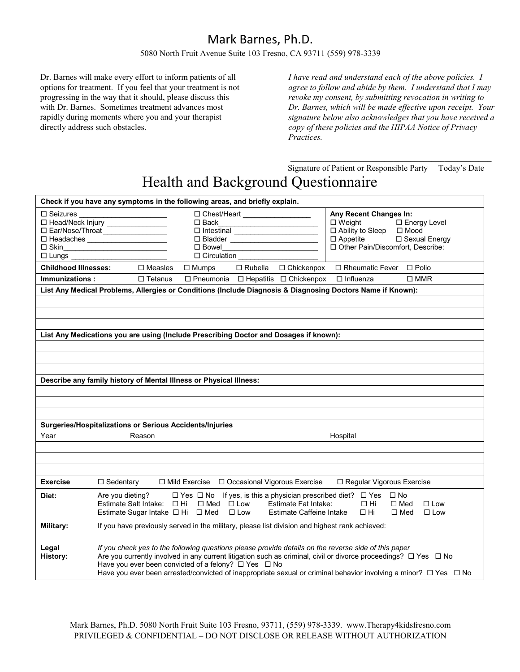#### 5080 North Fruit Avenue Suite 103 Fresno, CA 93711 (559) 978-3339

Dr. Barnes will make every effort to inform patients of all options for treatment. If you feel that your treatment is not progressing in the way that it should, please discuss this with Dr. Barnes. Sometimes treatment advances most rapidly during moments where you and your therapist directly address such obstacles.

*I have read and understand each of the above policies. I agree to follow and abide by them. I understand that I may revoke my consent, by submitting revocation in writing to Dr. Barnes, which will be made effective upon receipt. Your signature below also acknowledges that you have received a copy of these policies and the HIPAA Notice of Privacy Practices.*

\_\_\_\_\_\_\_\_\_\_\_\_\_\_\_\_\_\_\_\_\_\_\_\_\_\_\_\_\_\_\_\_\_\_\_\_\_\_\_\_\_\_\_\_\_\_\_ Signature of Patient or Responsible Party Today's Date

# Health and Background Questionnaire

| Check if you have any symptoms in the following areas, and briefly explain. |                                                                                                                                                                                                                                                                                                                                                                                                                                   |  |  |  |  |  |  |
|-----------------------------------------------------------------------------|-----------------------------------------------------------------------------------------------------------------------------------------------------------------------------------------------------------------------------------------------------------------------------------------------------------------------------------------------------------------------------------------------------------------------------------|--|--|--|--|--|--|
| $\Box$ Seizures<br>$\square$ Skin                                           | □ Chest/Heart _____________________<br>Any Recent Changes In:<br>□ Head/Neck Injury _______________<br>口 Back______________________________<br>$\Box$ Weight<br>□ Energy Level<br>$\Box$ Intestinal<br>□ Ability to Sleep □ Mood<br>□ Ear/Nose/Throat __________________<br>□ Appetite □ Sexual Energy<br>□ Other Pain/Discomfort, Describe:<br>D Circulation                                                                     |  |  |  |  |  |  |
| <b>Childhood Illnesses:</b>                                                 | $\square$ Measles<br>□ Rubella □ Chickenpox<br>□ Rheumatic Fever □ Polio<br>$\Box$ Mumps                                                                                                                                                                                                                                                                                                                                          |  |  |  |  |  |  |
| Immunizations:                                                              | $\Box$ Pneumonia $\Box$ Hepatitis $\Box$ Chickenpox<br>$\square$ MMR<br>$\Box$ Influenza<br>$\Box$ Tetanus                                                                                                                                                                                                                                                                                                                        |  |  |  |  |  |  |
|                                                                             | List Any Medical Problems, Allergies or Conditions (Include Diagnosis & Diagnosing Doctors Name if Known):                                                                                                                                                                                                                                                                                                                        |  |  |  |  |  |  |
|                                                                             |                                                                                                                                                                                                                                                                                                                                                                                                                                   |  |  |  |  |  |  |
|                                                                             |                                                                                                                                                                                                                                                                                                                                                                                                                                   |  |  |  |  |  |  |
|                                                                             |                                                                                                                                                                                                                                                                                                                                                                                                                                   |  |  |  |  |  |  |
|                                                                             | List Any Medications you are using (Include Prescribing Doctor and Dosages if known):                                                                                                                                                                                                                                                                                                                                             |  |  |  |  |  |  |
|                                                                             |                                                                                                                                                                                                                                                                                                                                                                                                                                   |  |  |  |  |  |  |
|                                                                             |                                                                                                                                                                                                                                                                                                                                                                                                                                   |  |  |  |  |  |  |
|                                                                             |                                                                                                                                                                                                                                                                                                                                                                                                                                   |  |  |  |  |  |  |
|                                                                             | Describe any family history of Mental Illness or Physical Illness:                                                                                                                                                                                                                                                                                                                                                                |  |  |  |  |  |  |
|                                                                             |                                                                                                                                                                                                                                                                                                                                                                                                                                   |  |  |  |  |  |  |
|                                                                             |                                                                                                                                                                                                                                                                                                                                                                                                                                   |  |  |  |  |  |  |
|                                                                             |                                                                                                                                                                                                                                                                                                                                                                                                                                   |  |  |  |  |  |  |
|                                                                             | Surgeries/Hospitalizations or Serious Accidents/Injuries                                                                                                                                                                                                                                                                                                                                                                          |  |  |  |  |  |  |
| Year                                                                        | Hospital<br>Reason                                                                                                                                                                                                                                                                                                                                                                                                                |  |  |  |  |  |  |
|                                                                             |                                                                                                                                                                                                                                                                                                                                                                                                                                   |  |  |  |  |  |  |
|                                                                             |                                                                                                                                                                                                                                                                                                                                                                                                                                   |  |  |  |  |  |  |
|                                                                             |                                                                                                                                                                                                                                                                                                                                                                                                                                   |  |  |  |  |  |  |
| Exercise                                                                    | □ Mild Exercise □ Occasional Vigorous Exercise<br>$\Box$ Sedentary<br>□ Regular Vigorous Exercise                                                                                                                                                                                                                                                                                                                                 |  |  |  |  |  |  |
| Diet:                                                                       | Are you dieting?<br>$\Box$ Yes $\Box$ No If yes, is this a physician prescribed diet? $\Box$ Yes $\Box$ No<br>Estimate Salt Intake: $\Box$ Hi $\Box$ Med $\Box$ Low Estimate Fat Intake:<br>$\Box$ Hi<br>$\square$ Med<br>$\Box$ Low<br>Estimate Sugar Intake $\Box$ Hi $\Box$ Med $\Box$ Low Estimate Caffeine Intake $\Box$ Hi<br>$\Box$ Med<br>$\Box$ Low                                                                      |  |  |  |  |  |  |
| Military:                                                                   | If you have previously served in the military, please list division and highest rank achieved:                                                                                                                                                                                                                                                                                                                                    |  |  |  |  |  |  |
| Legal<br>History:                                                           | If you check yes to the following questions please provide details on the reverse side of this paper<br>Are you currently involved in any current litigation such as criminal, civil or divorce proceedings? $\Box$ Yes $\Box$ No<br>Have you ever been convicted of a felony? $\Box$ Yes $\Box$ No<br>Have you ever been arrested/convicted of inappropriate sexual or criminal behavior involving a minor? $\Box$ Yes $\Box$ No |  |  |  |  |  |  |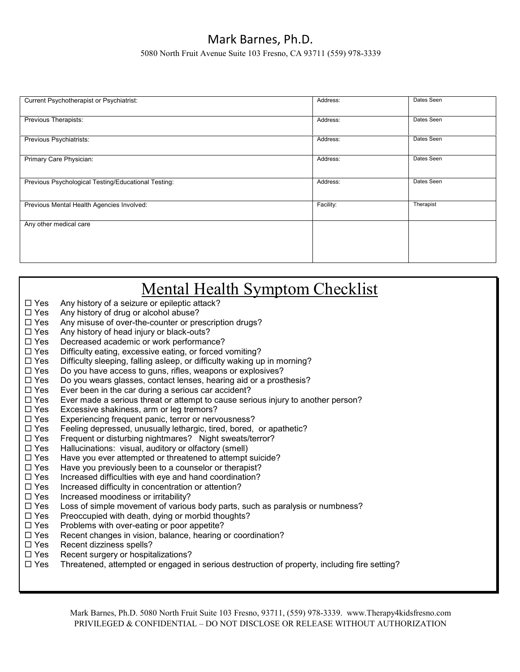5080 North Fruit Avenue Suite 103 Fresno, CA 93711 (559) 978-3339

| Address:  | Dates Seen |
|-----------|------------|
| Address:  | Dates Seen |
| Address:  | Dates Seen |
| Address:  | Dates Seen |
| Address:  | Dates Seen |
| Facility: | Therapist  |
|           |            |
|           |            |

| Mental Health Symptom Checklist |                                                                                              |  |  |  |  |  |
|---------------------------------|----------------------------------------------------------------------------------------------|--|--|--|--|--|
| $\square$ Yes                   | Any history of a seizure or epileptic attack?                                                |  |  |  |  |  |
| $\Box$ Yes                      | Any history of drug or alcohol abuse?                                                        |  |  |  |  |  |
| $\Box$ Yes                      | Any misuse of over-the-counter or prescription drugs?                                        |  |  |  |  |  |
| $\Box$ Yes                      | Any history of head injury or black-outs?                                                    |  |  |  |  |  |
| $\Box$ Yes                      | Decreased academic or work performance?                                                      |  |  |  |  |  |
| $\Box$ Yes                      | Difficulty eating, excessive eating, or forced vomiting?                                     |  |  |  |  |  |
| $\Box$ Yes                      | Difficulty sleeping, falling asleep, or difficulty waking up in morning?                     |  |  |  |  |  |
| $\Box$ Yes                      | Do you have access to guns, rifles, weapons or explosives?                                   |  |  |  |  |  |
| $\Box$ Yes                      | Do you wears glasses, contact lenses, hearing aid or a prosthesis?                           |  |  |  |  |  |
| $\Box$ Yes                      | Ever been in the car during a serious car accident?                                          |  |  |  |  |  |
| $\square$ Yes                   | Ever made a serious threat or attempt to cause serious injury to another person?             |  |  |  |  |  |
| $\Box$ Yes                      | Excessive shakiness, arm or leg tremors?                                                     |  |  |  |  |  |
| $\Box$ Yes                      | Experiencing frequent panic, terror or nervousness?                                          |  |  |  |  |  |
| $\Box$ Yes                      | Feeling depressed, unusually lethargic, tired, bored, or apathetic?                          |  |  |  |  |  |
| $\Box$ Yes                      | Frequent or disturbing nightmares? Night sweats/terror?                                      |  |  |  |  |  |
| $\Box$ Yes                      | Hallucinations: visual, auditory or olfactory (smell)                                        |  |  |  |  |  |
| $\Box$ Yes                      | Have you ever attempted or threatened to attempt suicide?                                    |  |  |  |  |  |
| $\Box$ Yes                      | Have you previously been to a counselor or therapist?                                        |  |  |  |  |  |
| $\Box$ Yes                      | Increased difficulties with eye and hand coordination?                                       |  |  |  |  |  |
| $\Box$ Yes                      | Increased difficulty in concentration or attention?                                          |  |  |  |  |  |
| $\square$ Yes                   | Increased moodiness or irritability?                                                         |  |  |  |  |  |
| $\Box$ Yes                      | Loss of simple movement of various body parts, such as paralysis or numbness?                |  |  |  |  |  |
| $\Box$ Yes                      | Preoccupied with death, dying or morbid thoughts?                                            |  |  |  |  |  |
| $\Box$ Yes                      | Problems with over-eating or poor appetite?                                                  |  |  |  |  |  |
| $\Box$ Yes                      | Recent changes in vision, balance, hearing or coordination?                                  |  |  |  |  |  |
| $\square$ Yes                   | Recent dizziness spells?                                                                     |  |  |  |  |  |
| $\Box$ Yes                      | Recent surgery or hospitalizations?                                                          |  |  |  |  |  |
| $\square$ Yes                   | Threatened, attempted or engaged in serious destruction of property, including fire setting? |  |  |  |  |  |
|                                 |                                                                                              |  |  |  |  |  |